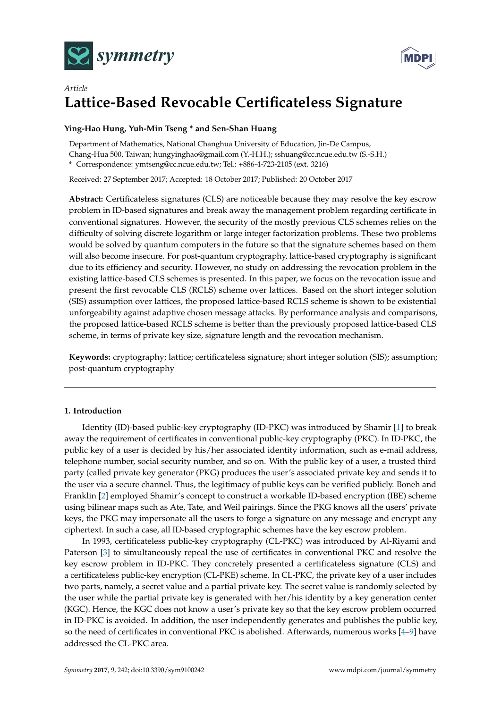



# *Article* **Lattice-Based Revocable Certificateless Signature**

## **Ying-Hao Hung, Yuh-Min Tseng \* and Sen-Shan Huang**

Department of Mathematics, National Changhua University of Education, Jin-De Campus,

Chang-Hua 500, Taiwan; hungyinghao@gmail.com (Y.-H.H.); sshuang@cc.ncue.edu.tw (S.-S.H.)

**\*** Correspondence: ymtseng@cc.ncue.edu.tw; Tel.: +886-4-723-2105 (ext. 3216)

Received: 27 September 2017; Accepted: 18 October 2017; Published: 20 October 2017

**Abstract:** Certificateless signatures (CLS) are noticeable because they may resolve the key escrow problem in ID-based signatures and break away the management problem regarding certificate in conventional signatures. However, the security of the mostly previous CLS schemes relies on the difficulty of solving discrete logarithm or large integer factorization problems. These two problems would be solved by quantum computers in the future so that the signature schemes based on them will also become insecure. For post-quantum cryptography, lattice-based cryptography is significant due to its efficiency and security. However, no study on addressing the revocation problem in the existing lattice-based CLS schemes is presented. In this paper, we focus on the revocation issue and present the first revocable CLS (RCLS) scheme over lattices. Based on the short integer solution (SIS) assumption over lattices, the proposed lattice-based RCLS scheme is shown to be existential unforgeability against adaptive chosen message attacks. By performance analysis and comparisons, the proposed lattice-based RCLS scheme is better than the previously proposed lattice-based CLS scheme, in terms of private key size, signature length and the revocation mechanism.

**Keywords:** cryptography; lattice; certificateless signature; short integer solution (SIS); assumption; post-quantum cryptography

# **1. Introduction**

Identity (ID)-based public-key cryptography (ID-PKC) was introduced by Shamir [\[1\]](#page-15-0) to break away the requirement of certificates in conventional public-key cryptography (PKC). In ID-PKC, the public key of a user is decided by his/her associated identity information, such as e-mail address, telephone number, social security number, and so on. With the public key of a user, a trusted third party (called private key generator (PKG) produces the user's associated private key and sends it to the user via a secure channel. Thus, the legitimacy of public keys can be verified publicly. Boneh and Franklin [\[2\]](#page-15-1) employed Shamir's concept to construct a workable ID-based encryption (IBE) scheme using bilinear maps such as Ate, Tate, and Weil pairings. Since the PKG knows all the users' private keys, the PKG may impersonate all the users to forge a signature on any message and encrypt any ciphertext. In such a case, all ID-based cryptographic schemes have the key escrow problem.

In 1993, certificateless public-key cryptography (CL-PKC) was introduced by Al-Riyami and Paterson [\[3\]](#page-15-2) to simultaneously repeal the use of certificates in conventional PKC and resolve the key escrow problem in ID-PKC. They concretely presented a certificateless signature (CLS) and a certificateless public-key encryption (CL-PKE) scheme. In CL-PKC, the private key of a user includes two parts, namely, a secret value and a partial private key. The secret value is randomly selected by the user while the partial private key is generated with her/his identity by a key generation center (KGC). Hence, the KGC does not know a user's private key so that the key escrow problem occurred in ID-PKC is avoided. In addition, the user independently generates and publishes the public key, so the need of certificates in conventional PKC is abolished. Afterwards, numerous works [\[4–](#page-15-3)[9\]](#page-15-4) have addressed the CL-PKC area.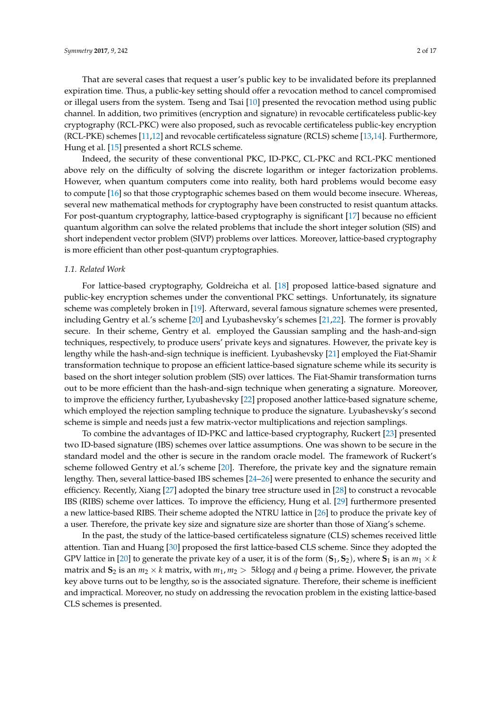That are several cases that request a user's public key to be invalidated before its preplanned expiration time. Thus, a public-key setting should offer a revocation method to cancel compromised or illegal users from the system. Tseng and Tsai [\[10\]](#page-15-5) presented the revocation method using public channel. In addition, two primitives (encryption and signature) in revocable certificateless public-key cryptography (RCL-PKC) were also proposed, such as revocable certificateless public-key encryption (RCL-PKE) schemes [\[11,](#page-15-6)[12\]](#page-15-7) and revocable certificateless signature (RCLS) scheme [\[13,](#page-15-8)[14\]](#page-15-9). Furthermore, Hung et al. [\[15\]](#page-15-10) presented a short RCLS scheme.

Indeed, the security of these conventional PKC, ID-PKC, CL-PKC and RCL-PKC mentioned above rely on the difficulty of solving the discrete logarithm or integer factorization problems. However, when quantum computers come into reality, both hard problems would become easy to compute [\[16\]](#page-15-11) so that those cryptographic schemes based on them would become insecure. Whereas, several new mathematical methods for cryptography have been constructed to resist quantum attacks. For post-quantum cryptography, lattice-based cryptography is significant [\[17\]](#page-15-12) because no efficient quantum algorithm can solve the related problems that include the short integer solution (SIS) and short independent vector problem (SIVP) problems over lattices. Moreover, lattice-based cryptography is more efficient than other post-quantum cryptographies.

#### *1.1. Related Work*

For lattice-based cryptography, Goldreicha et al. [\[18\]](#page-15-13) proposed lattice-based signature and public-key encryption schemes under the conventional PKC settings. Unfortunately, its signature scheme was completely broken in [\[19\]](#page-15-14). Afterward, several famous signature schemes were presented, including Gentry et al.'s scheme [\[20\]](#page-15-15) and Lyubashevsky's schemes [\[21,](#page-16-0)[22\]](#page-16-1). The former is provably secure. In their scheme, Gentry et al. employed the Gaussian sampling and the hash-and-sign techniques, respectively, to produce users' private keys and signatures. However, the private key is lengthy while the hash-and-sign technique is inefficient. Lyubashevsky [\[21\]](#page-16-0) employed the Fiat-Shamir transformation technique to propose an efficient lattice-based signature scheme while its security is based on the short integer solution problem (SIS) over lattices. The Fiat-Shamir transformation turns out to be more efficient than the hash-and-sign technique when generating a signature. Moreover, to improve the efficiency further, Lyubashevsky [\[22\]](#page-16-1) proposed another lattice-based signature scheme, which employed the rejection sampling technique to produce the signature. Lyubashevsky's second scheme is simple and needs just a few matrix-vector multiplications and rejection samplings.

To combine the advantages of ID-PKC and lattice-based cryptography, Ruckert [\[23\]](#page-16-2) presented two ID-based signature (IBS) schemes over lattice assumptions. One was shown to be secure in the standard model and the other is secure in the random oracle model. The framework of Ruckert's scheme followed Gentry et al.'s scheme [\[20\]](#page-15-15). Therefore, the private key and the signature remain lengthy. Then, several lattice-based IBS schemes [\[24–](#page-16-3)[26\]](#page-16-4) were presented to enhance the security and efficiency. Recently, Xiang [\[27\]](#page-16-5) adopted the binary tree structure used in [\[28\]](#page-16-6) to construct a revocable IBS (RIBS) scheme over lattices. To improve the efficiency, Hung et al. [\[29\]](#page-16-7) furthermore presented a new lattice-based RIBS. Their scheme adopted the NTRU lattice in [\[26\]](#page-16-4) to produce the private key of a user. Therefore, the private key size and signature size are shorter than those of Xiang's scheme.

In the past, the study of the lattice-based certificateless signature (CLS) schemes received little attention. Tian and Huang [\[30\]](#page-16-8) proposed the first lattice-based CLS scheme. Since they adopted the GPV lattice in [\[20\]](#page-15-15) to generate the private key of a user, it is of the form  $(\mathbf{S}_1, \mathbf{S}_2)$ , where  $\mathbf{S}_1$  is an  $m_1 \times k$ matrix and  $\mathbf{S}_2$  is an  $m_2 \times k$  matrix, with  $m_1, m_2 > 5k \log q$  and q being a prime. However, the private key above turns out to be lengthy, so is the associated signature. Therefore, their scheme is inefficient and impractical. Moreover, no study on addressing the revocation problem in the existing lattice-based CLS schemes is presented.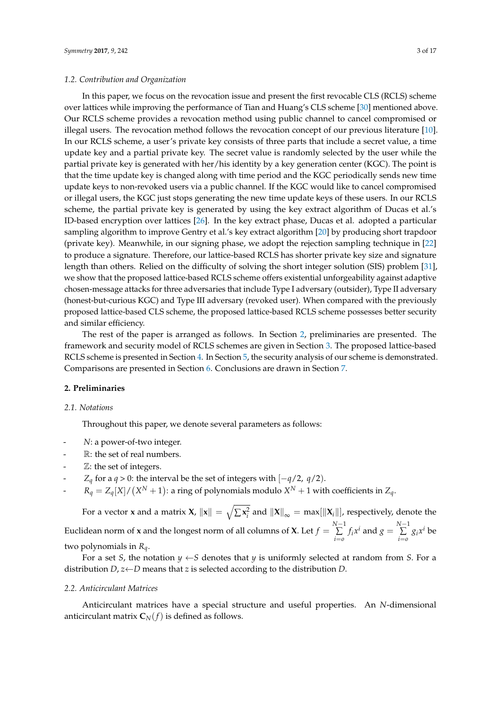In this paper, we focus on the revocation issue and present the first revocable CLS (RCLS) scheme over lattices while improving the performance of Tian and Huang's CLS scheme [\[30\]](#page-16-8) mentioned above. Our RCLS scheme provides a revocation method using public channel to cancel compromised or illegal users. The revocation method follows the revocation concept of our previous literature [\[10\]](#page-15-5). In our RCLS scheme, a user's private key consists of three parts that include a secret value, a time update key and a partial private key. The secret value is randomly selected by the user while the partial private key is generated with her/his identity by a key generation center (KGC). The point is that the time update key is changed along with time period and the KGC periodically sends new time update keys to non-revoked users via a public channel. If the KGC would like to cancel compromised or illegal users, the KGC just stops generating the new time update keys of these users. In our RCLS scheme, the partial private key is generated by using the key extract algorithm of Ducas et al.'s ID-based encryption over lattices [\[26\]](#page-16-4). In the key extract phase, Ducas et al. adopted a particular sampling algorithm to improve Gentry et al.'s key extract algorithm [\[20\]](#page-15-15) by producing short trapdoor (private key). Meanwhile, in our signing phase, we adopt the rejection sampling technique in [\[22\]](#page-16-1) to produce a signature. Therefore, our lattice-based RCLS has shorter private key size and signature length than others. Relied on the difficulty of solving the short integer solution (SIS) problem [\[31\]](#page-16-9), we show that the proposed lattice-based RCLS scheme offers existential unforgeability against adaptive chosen-message attacks for three adversaries that include Type I adversary (outsider), Type II adversary (honest-but-curious KGC) and Type III adversary (revoked user). When compared with the previously proposed lattice-based CLS scheme, the proposed lattice-based RCLS scheme possesses better security and similar efficiency.

The rest of the paper is arranged as follows. In Section [2,](#page-2-0) preliminaries are presented. The framework and security model of RCLS schemes are given in Section [3.](#page-6-0) The proposed lattice-based RCLS scheme is presented in Section [4.](#page-7-0) In Section [5,](#page-9-0) the security analysis of our scheme is demonstrated. Comparisons are presented in Section [6.](#page-13-0) Conclusions are drawn in Section [7.](#page-14-0)

#### <span id="page-2-0"></span>**2. Preliminaries**

#### *2.1. Notations*

Throughout this paper, we denote several parameters as follows:

- *N*: a power-of-two integer.
- $\mathbb R$ : the set of real numbers.
- Z: the set of integers.
- *Z*<sup> $q$ </sup> for a *q* > 0: the interval be the set of integers with  $[-q/2, q/2)$ .
- $R_q = Z_q[X]/(X^N + 1)$ : a ring of polynomials modulo  $X^N + 1$  with coefficients in  $Z_q$ .

For a vector **x** and a matrix **X**,  $\|\mathbf{x}\| = \sqrt{\sum \mathbf{x}_i^2}$  and  $\|\mathbf{X}\|_\infty = \max[\|\mathbf{X}_i\|]$ , respectively, denote the Euclidean norm of **x** and the longest norm of all columns of **X**. Let  $f = \sum^{N-1}$  $\sum_{i=0}^{N-1} f_i x^i$  and  $g = \sum_{i=0}^{N-1}$  $\sum_{i=0}$  *g*<sub>*i*</sub>*x*<sup>*i*</sup> be two polynomials in *Rq*.

For a set *S*, the notation  $y \leftarrow S$  denotes that  $y$  is uniformly selected at random from *S*. For a distribution *D*, *z*←*D* means that *z* is selected according to the distribution *D*.

#### *2.2. Anticirculant Matrices*

Anticirculant matrices have a special structure and useful properties. An *N*-dimensional anticirculant matrix  $\mathbf{C}_N(f)$  is defined as follows.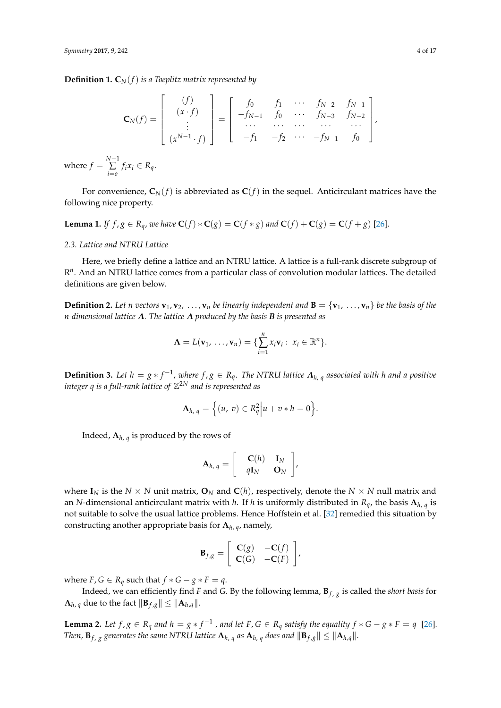**Definition 1.**  $C_N(f)$  *is a Toeplitz matrix represented by* 

$$
\mathbf{C}_{N}(f) = \left[ \begin{array}{c} (f) \\ (x \cdot f) \\ \vdots \\ (x^{N-1} \cdot f) \end{array} \right] = \left[ \begin{array}{cccc} f_{0} & f_{1} & \cdots & f_{N-2} & f_{N-1} \\ -f_{N-1} & f_{0} & \cdots & f_{N-3} & f_{N-2} \\ \cdots & \cdots & \cdots & \cdots & \cdots \\ -f_{1} & -f_{2} & \cdots & -f_{N-1} & f_{0} \end{array} \right],
$$

where  $f = \sum_{n=1}^{N-1}$  $\sum_{i=0}$   $f_i x_i \in R_q$ .

For convenience,  $C_N(f)$  is abbreviated as  $C(f)$  in the sequel. Anticirculant matrices have the following nice property.

**Lemma 1.** If 
$$
f, g \in R_q
$$
, we have  $C(f) * C(g) = C(f * g)$  and  $C(f) + C(g) = C(f + g)$  [26].

#### <span id="page-3-0"></span>*2.3. Lattice and NTRU Lattice*

Here, we briefly define a lattice and an NTRU lattice. A lattice is a full-rank discrete subgroup of R<sup>n</sup>. And an NTRU lattice comes from a particular class of convolution modular lattices. The detailed definitions are given below.

**Definition 2.** Let n vectors  $\mathbf{v}_1, \mathbf{v}_2, \ldots, \mathbf{v}_n$  be linearly independent and  $\mathbf{B} = {\mathbf{v}_1, \ldots, \mathbf{v}_n}$  be the basis of the *n-dimensional lattice* **<sup>Λ</sup>***. The lattice* **<sup>Λ</sup>** *produced by the basis B is presented as*

$$
\mathbf{\Lambda}=L(\mathbf{v}_1,\ldots,\mathbf{v}_n)=\{\sum_{i=1}^n x_i\mathbf{v}_i:\;x_i\in\mathbb{R}^n\}.
$$

**Definition 3.** Let  $h = g * f^{-1}$ , where  $f, g \in R_q$ . The NTRU lattice  $\Lambda_{h, q}$  associated with h and a positive *integer q is a full-rank lattice of* Z <sup>2</sup>*<sup>N</sup> and is represented as*

$$
\mathbf{\Lambda}_{h,\,q}=\Big\{(u,\,v)\in R_q^2\Big|u+v*h=0\Big\}.
$$

Indeed, **Λ***h*, *<sup>q</sup>* is produced by the rows of

$$
\mathbf{A}_{h, q} = \left[ \begin{array}{cc} -\mathbf{C}(h) & \mathbf{I}_N \\ q\mathbf{I}_N & \mathbf{O}_N \end{array} \right],
$$

where  $I_N$  is the  $N \times N$  unit matrix,  $O_N$  and  $C(h)$ , respectively, denote the  $N \times N$  null matrix and an *N*-dimensional anticirculant matrix with *h*. If *h* is uniformly distributed in *Rq*, the basis **Λ***h*, *<sup>q</sup>* is not suitable to solve the usual lattice problems. Hence Hoffstein et al. [\[32\]](#page-16-10) remedied this situation by constructing another appropriate basis for **Λ***h*, *<sup>q</sup>*, namely,

$$
\mathbf{B}_{f,g} = \left[ \begin{array}{cc} \mathbf{C}(g) & -\mathbf{C}(f) \\ \mathbf{C}(G) & -\mathbf{C}(F) \end{array} \right],
$$

where  $F$ ,  $G \in R_q$  such that  $f * G - g * F = q$ .

Indeed, we can efficiently find *F* and *G*. By the following lemma, **B***<sup>f</sup>* , *<sup>g</sup>* is called the *short basis* for  $\mathbf{\Lambda}_{h,q}$  due to the fact  $\|\mathbf{B}_{f,g}\| \leq \|\mathbf{A}_{h,q}\|$ .

**Lemma 2.** Let  $f, g \in R_q$  and  $h = g * f^{-1}$ , and let  $F, G \in R_q$  satisfy the equality  $f * G - g * F = q$  [\[26\]](#page-16-4). *Then,*  $\mathbf{B}_{f, g}$  *generates the same NTRU lattice*  $\mathbf{\Lambda}_{h, q}$  *as*  $\mathbf{A}_{h, q}$  *does and*  $\|\mathbf{B}_{f, g}\| \leq \|\mathbf{A}_{h, q}\|$ .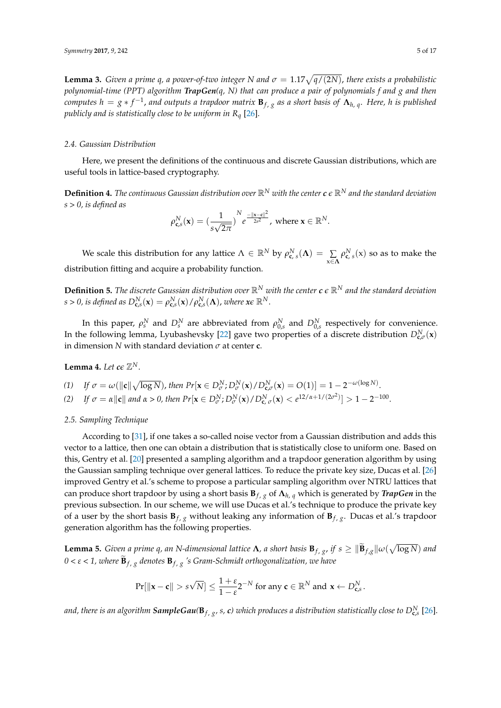**Lemma 3.** *Given a prime q, a power-of-two integer* N and  $\sigma = 1.17\sqrt{q/(2N)}$ , there exists a probabilistic *polynomial-time (PPT) algorithm TrapGen(q, N) that can produce a pair of polynomials f and g and then computes*  $h = g * f^{-1}$ , and outputs a trapdoor matrix  $B_{f, g}$  as a short basis of  $\Lambda_{h, q}$ . Here, h is published *publicly and is statistically close to be uniform in R<sup>q</sup>* [\[26\]](#page-16-4).

#### *2.4. Gaussian Distribution*

Here, we present the definitions of the continuous and discrete Gaussian distributions, which are useful tools in lattice-based cryptography.

**Definition 4.** *The continuous Gaussian distribution over* R*<sup>N</sup> with the center c e* R*<sup>N</sup> and the standard deviation s > 0, is defined as*

$$
\rho_{\mathbf{c},s}^N(\mathbf{x}) = \left(\frac{1}{s\sqrt{2\pi}}\right)^N e^{\frac{-\|\mathbf{x}-\mathbf{c}\|^2}{2s^2}}, \text{ where } \mathbf{x} \in \mathbb{R}^N.
$$

We scale this distribution for any lattice  $\Lambda \in \mathbb{R}^N$  by  $\rho_{\mathbf{c}, s}^N(\Lambda) = \sum_{\mathbf{x} \in \Lambda} \rho_{\mathbf{c}, s}^N(\mathbf{x})$  so as to make the distribution fitting and acquire a probability function.

**Definition 5.** The discrete Gaussian distribution over  $\mathbb{R}^N$  with the center  $c \in \mathbb{R}^N$  and the standard deviation  $\rho$ , *s* defined as  $D^N_{\mathbf{c},s}(\mathbf{x}) = \rho^N_{\mathbf{c},s}(\mathbf{x})/\rho^N_{\mathbf{c},s}(\mathbf{\Lambda})$ , where  $\mathbf{x}\in\mathbb{R}^N$ .

In this paper,  $\rho_s^N$  and  $D_s^N$  are abbreviated from  $\rho_{0,s}^N$  and  $D_{0,s}^N$  respectively for convenience. In the following lemma, Lyubashevsky [\[22\]](#page-16-1) gave two properties of a discrete distribution  $D^N_{\mathbf{c},\sigma}(\mathbf{x})$ in dimension *N* with standard deviation *σ* at center **c**.

**Lemma 4.** Let  $ce \mathbb{Z}^N$ .

(1) If 
$$
\sigma = \omega(||\mathbf{c}||\sqrt{\log N})
$$
, then  $Pr[\mathbf{x} \in D^N_{\sigma}; D^N_{\sigma}(\mathbf{x})/D^N_{\mathbf{c},\sigma}(\mathbf{x})] = O(1)] = 1 - 2^{-\omega(\log N)}$ .

(2) If  $\sigma = \alpha ||\mathbf{c}||$  and  $\alpha > 0$ , then  $Pr[\mathbf{x} \in D_{\sigma}^{N}; D_{\sigma}^{N}(\mathbf{x})/D_{\mathbf{c}, \sigma}^{N}(\mathbf{x}) < e^{12/\alpha + 1/(2\sigma^{2})}] > 1 - 2^{-100}$ .

#### <span id="page-4-0"></span>*2.5. Sampling Technique*

According to [\[31\]](#page-16-9), if one takes a so-called noise vector from a Gaussian distribution and adds this vector to a lattice, then one can obtain a distribution that is statistically close to uniform one. Based on this, Gentry et al. [\[20\]](#page-15-15) presented a sampling algorithm and a trapdoor generation algorithm by using the Gaussian sampling technique over general lattices. To reduce the private key size, Ducas et al. [\[26\]](#page-16-4) improved Gentry et al.'s scheme to propose a particular sampling algorithm over NTRU lattices that can produce short trapdoor by using a short basis **B***<sup>f</sup>* , *<sup>g</sup>* of **Λ***h*, *<sup>q</sup>* which is generated by *TrapGen* in the previous subsection. In our scheme, we will use Ducas et al.'s technique to produce the private key of a user by the short basis **B***<sup>f</sup>* , *<sup>g</sup>* without leaking any information of **B***<sup>f</sup>* , *<sup>g</sup>* . Ducas et al.'s trapdoor generation algorithm has the following properties.

**Lemma 5.** *Given a prime q, an N-dimensional lattice*  $\Lambda$ , *a short basis*  $B_{f, g}$ , *if*  $s \geq \|\widetilde{B}_{f, g}\| \omega(\sqrt{\log N})$  and *0 < <sup>ε</sup> < 1, where* **<sup>B</sup>**<sup>e</sup> *<sup>f</sup>* , *<sup>g</sup> denotes* **B***<sup>f</sup>* , *<sup>g</sup> 's Gram-Schmidt orthogonalization, we have*

$$
\Pr[\|\mathbf{x} - \mathbf{c}\| > s\sqrt{N}] \le \frac{1+\varepsilon}{1-\varepsilon} 2^{-N} \text{ for any } \mathbf{c} \in \mathbb{R}^N \text{ and } \mathbf{x} \leftarrow D_{\mathbf{c},s}^N.
$$

and, there is an algorithm  $\emph{SampleGau}(\textbf{B}_{f,~g},~s,~c)$  which produces a distribution statistically close to  $D^N_{\textbf{c},s}$  [\[26\]](#page-16-4).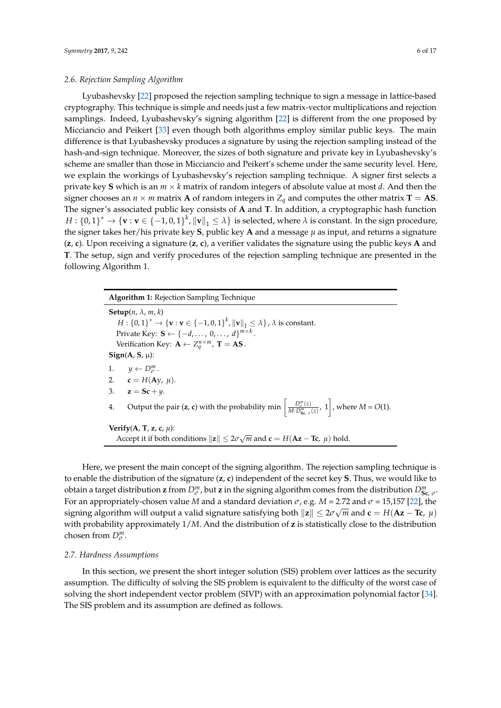#### *2.6. Rejection Sampling Algorithm*

Lyubashevsky [\[22\]](#page-16-1) proposed the rejection sampling technique to sign a message in lattice-based cryptography. This technique is simple and needs just a few matrix-vector multiplications and rejection samplings. Indeed, Lyubashevsky's signing algorithm [\[22\]](#page-16-1) is different from the one proposed by Micciancio and Peikert [\[33\]](#page-16-11) even though both algorithms employ similar public keys. The main difference is that Lyubashevsky produces a signature by using the rejection sampling instead of the hash-and-sign technique. Moreover, the sizes of both signature and private key in Lyubashevsky's scheme are smaller than those in Micciancio and Peikert's scheme under the same security level. Here, we explain the workings of Lyubashevsky's rejection sampling technique. A signer first selects a private key **S** which is an *m* × *k* matrix of random integers of absolute value at most *d*. And then the signer chooses an  $n \times m$  matrix **A** of random integers in  $Z_q$  and computes the other matrix **T** = **AS**. The signer's associated public key consists of **A** and **T**. In addition, a cryptographic hash function  $H: \{0,1\}^* \to \{\mathbf{v}: \mathbf{v} \in \{-1,0,1\}^k, \|\mathbf{v}\|_1 \leq \lambda\}$  is selected, where  $\lambda$  is constant. In the sign procedure, the signer takes her/his private key **S**, public key **A** and a message  $\mu$  as input, and returns a signature (**z**, **c**). Upon receiving a signature (**z**, **c**), a verifier validates the signature using the public keys **A** and **T**. The setup, sign and verify procedures of the rejection sampling technique are presented in the following Algorithm 1.

> **Algorithm 1:** Rejection Sampling Technique **Setup**(*n*, *λ*, *m*, *k*)  $H: \{0,1\}^* \to \{\mathbf{v}: \mathbf{v} \in \{-1,0,1\}^k, \|\mathbf{v}\|_1 \leq \lambda\}$ ,  $\lambda$  is constant. Private Key:  $\mathbf{S} \leftarrow \{-d, \ldots, 0, \ldots, d\}^{m \times k}$ . Verification Key:  $\mathbf{A} \leftarrow Z_q^{n \times m}$ ,  $\mathbf{T} = \mathbf{A}\mathbf{S}$ .  $Sign(A, S, \mu)$ : 1.  $y \leftarrow D_{\sigma}^{m}$ . 2. **c** = *H*(**A**y,  $\mu$ ). 3.  $z = Sc + y$ . 4. Output the pair (**z**, **c**) with the probability min  $\left[\frac{D_{\sigma}^m(z)}{M \cdot D_{\mathbf{S}_\mathbf{C}, \sigma}^m(z)}, 1\right]$ , where  $M = O(1)$ . **Verify**(**A**, **T**, **z**, **c**, *µ*): Accept it if both conditions  $||\mathbf{z}|| \le 2\sigma\sqrt{m}$  and  $\mathbf{c} = H(\mathbf{A}\mathbf{z} - \mathbf{Tc}, \mu)$  hold.

Here, we present the main concept of the signing algorithm. The rejection sampling technique is to enable the distribution of the signature (**z**, **c**) independent of the secret key **S**. Thus, we would like to obtain a target distribution **z** from  $D^m_\sigma$ , but **z** in the signing algorithm comes from the distribution  $D^m_{Sc, \sigma}$ . For an appropriately-chosen value *M* and a standard deviation *σ*, e.g. *M* = 2.72 and *σ* = 15,157 [\[22\]](#page-16-1), the √  $\alpha$  signing algorithm will output a valid signature satisfying both  $\|\mathbf{z}\| \leq 2\sigma\sqrt{m}$  and  $\mathbf{c} = H(\mathbf{Az-Tc},\ \mu)$ with probability approximately 1/*M*. And the distribution of **z** is statistically close to the distribution chosen from  $D_{\sigma}^m$ .

#### *2.7. Hardness Assumptions*

In this section, we present the short integer solution (SIS) problem over lattices as the security assumption. The difficulty of solving the SIS problem is equivalent to the difficulty of the worst case of solving the short independent vector problem (SIVP) with an approximation polynomial factor [\[34\]](#page-16-12). The SIS problem and its assumption are defined as follows.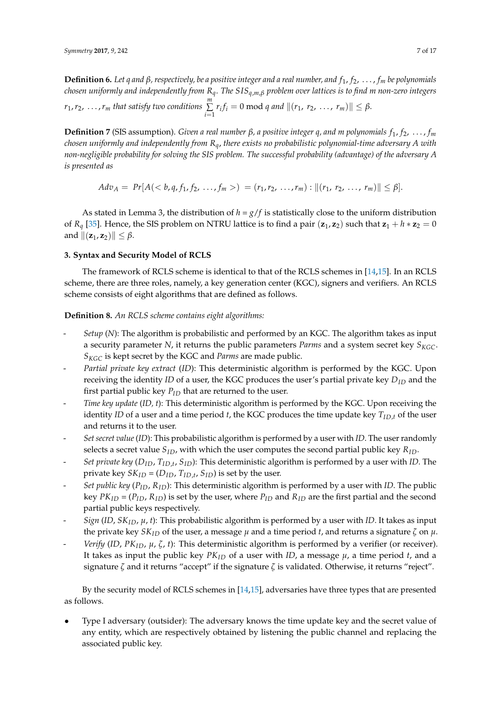**Definition 6.** *Let q and β, respectively, be a positive integer and a real number, and f*1, *f*2, . . . , *f<sup>m</sup> be polynomials chosen uniformly and independently from Rq*. *The SISq*,*m*,*<sup>β</sup> problem over lattices is to find m non-zero integers r*1,*r*2, . . . ,*r<sup>m</sup> that satisfy two conditions m* ∑  $\sum_{i=1}^{\infty} r_i f_i = 0 \mod q$  and  $||(r_1, r_2, \ldots, r_m)|| \leq \beta$ .

**Definition 7** (SIS assumption). *Given a real number*  $β$ *, a positive integer q, and m polynomials*  $f_1, f_2, \ldots, f_m$ *chosen uniformly and independently from Rq*, *there exists no probabilistic polynomial-time adversary A with non-negligible probability for solving the SIS problem. The successful probability (advantage) of the adversary A is presented as*

$$
Adv_A = Pr[A(b, q, f1, f2, ..., fm) = (r1, r2, ..., rm) : ||(r1, r2, ..., rm)|| \leq \beta
$$
].

As stated in Lemma 3, the distribution of  $h = g/f$  is statistically close to the uniform distribution of  $R_q$  [\[35\]](#page-16-13). Hence, the SIS problem on NTRU lattice is to find a pair  $(\mathbf{z}_1, \mathbf{z}_2)$  such that  $\mathbf{z}_1 + h * \mathbf{z}_2 = 0$ and  $\|(\mathbf{z}_1, \mathbf{z}_2)\| \leq \beta$ .

## <span id="page-6-0"></span>**3. Syntax and Security Model of RCLS**

The framework of RCLS scheme is identical to that of the RCLS schemes in [\[14,](#page-15-9)[15\]](#page-15-10). In an RCLS scheme, there are three roles, namely, a key generation center (KGC), signers and verifiers. An RCLS scheme consists of eight algorithms that are defined as follows.

### **Definition 8.** *An RCLS scheme contains eight algorithms:*

- *Setup* (*N*): The algorithm is probabilistic and performed by an KGC. The algorithm takes as input a security parameter *N*, it returns the public parameters *Parms* and a system secret key *SKGC*. *SKGC* is kept secret by the KGC and *Parms* are made public.
- *Partial private key extract* (*ID*): This deterministic algorithm is performed by the KGC. Upon receiving the identity *ID* of a user, the KGC produces the user's partial private key *DID* and the first partial public key  $P_{ID}$  that are returned to the user.
- *Time key update* (*ID, t*): This deterministic algorithm is performed by the KGC. Upon receiving the identity *ID* of a user and a time period *t*, the KGC produces the time update key  $T_{ID,t}$  of the user and returns it to the user.
- *Set secret value* (*ID*): This probabilistic algorithm is performed by a user with *ID*. The user randomly selects a secret value *SID*, with which the user computes the second partial public key *RID*.
- *Set private key* (*DID*, *TID*,*<sup>t</sup>* , *SID*): This deterministic algorithm is performed by a user with *ID*. The private key  $SK_{ID} = (D_{ID}, T_{ID,t}, S_{ID})$  is set by the user.
- *Set public key* (*PID*, *RID*): This deterministic algorithm is performed by a user with *ID*. The public key *PKID* = (*PID*, *RID*) is set by the user, where *PID* and *RID* are the first partial and the second partial public keys respectively.
- *Sign* (*ID*,  $SK_{ID}$ ,  $\mu$ , *t*): This probabilistic algorithm is performed by a user with *ID*. It takes as input the private key *SK*<sub>*ID*</sub> of the user, a message  $\mu$  and a time period *t*, and returns a signature *ζ* on  $\mu$ .
- *Verify* (*ID*, *PKID*, *µ*, *ζ*, *t*): This deterministic algorithm is performed by a verifier (or receiver). It takes as input the public key *PKID* of a user with *ID*, a message *µ*, a time period *t*, and a signature *ζ* and it returns "accept" if the signature *ζ* is validated. Otherwise, it returns "reject".

By the security model of RCLS schemes in [\[14](#page-15-9)[,15\]](#page-15-10), adversaries have three types that are presented as follows.

• Type I adversary (outsider): The adversary knows the time update key and the secret value of any entity, which are respectively obtained by listening the public channel and replacing the associated public key.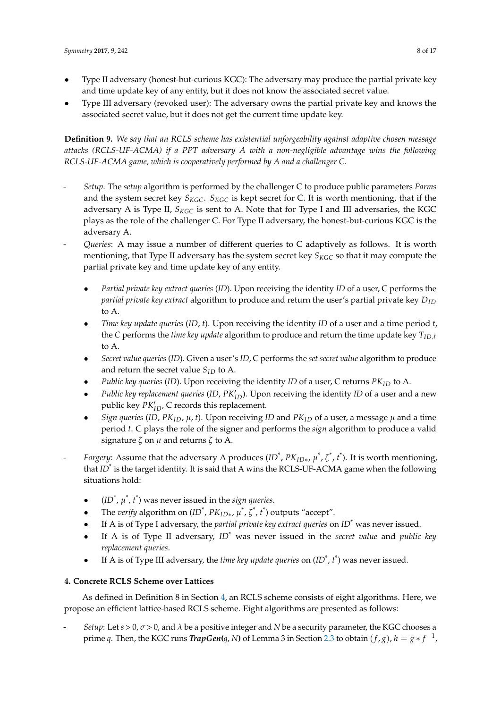- Type II adversary (honest-but-curious KGC): The adversary may produce the partial private key and time update key of any entity, but it does not know the associated secret value.
- Type III adversary (revoked user): The adversary owns the partial private key and knows the associated secret value, but it does not get the current time update key.

**Definition 9.** *We say that an RCLS scheme has existential unforgeability against adaptive chosen message attacks (RCLS-UF-ACMA) if a PPT adversary A with a non-negligible advantage wins the following RCLS-UF-ACMA game, which is cooperatively performed by A and a challenger C*.

- *Setup*. The *setup* algorithm is performed by the challenger C to produce public parameters *Parms* and the system secret key *SKGC*. *SKGC* is kept secret for C. It is worth mentioning, that if the adversary A is Type II, *SKGC* is sent to A. Note that for Type I and III adversaries, the KGC plays as the role of the challenger C. For Type II adversary, the honest-but-curious KGC is the adversary A.
- *Queries*: A may issue a number of different queries to C adaptively as follows. It is worth mentioning, that Type II adversary has the system secret key  $S_{KGC}$  so that it may compute the partial private key and time update key of any entity.
	- *Partial private key extract queries* (*ID*). Upon receiving the identity *ID* of a user, C performs the *partial private key extract* algorithm to produce and return the user's partial private key *DID* to A.
	- *Time key update queries* (*ID*, *t*). Upon receiving the identity *ID* of a user and a time period *t*, the *C* performs the *time key update* algorithm to produce and return the time update key  $T_{ID,t}$ to A.
	- *Secret value queries* (*ID*). Given a user's *ID*, C performs the *set secret value* algorithm to produce and return the secret value *SID* to A.
	- *Public key queries* (*ID*). Upon receiving the identity *ID* of a user, C returns *PKID* to A.
	- *Public key replacement queries* (*ID*, *PK*<sup>*ID*</sup>). Upon receiving the identity *ID* of a user and a new public key  $PK'_{ID}$ , C records this replacement.
	- *Sign queries* (*ID*,  $PK_{ID}$ ,  $\mu$ ,  $t$ ). Upon receiving *ID* and  $PK_{ID}$  of a user, a message  $\mu$  and a time period *t*. C plays the role of the signer and performs the *sign* algorithm to produce a valid signature *ζ* on *µ* and returns *ζ* to A.
- *Forgery*: Assume that the adversary A produces (*ID*\* , *PKID*∗, *µ* \* , *ζ* \* , *t* \* ). It is worth mentioning, that *ID*\* is the target identity. It is said that A wins the RCLS-UF-ACMA game when the following situations hold:
	- $(ID^*, \mu^*, t^*)$  was never issued in the *sign queries*.
	- The *verify* algorithm on  $(ID^*, PK_{ID*}, \mu^*, \zeta^*, t^*)$  outputs "accept".
	- If A is of Type I adversary, the *partial private key extract queries* on *ID*\* was never issued.
	- If A is of Type II adversary, *ID*\* was never issued in the *secret value* and *public key replacement queries*.
	- If A is of Type III adversary, the *time key update queries* on (*ID*\* , *t* \* ) was never issued.

# <span id="page-7-0"></span>**4. Concrete RCLS Scheme over Lattices**

As defined in Definition 8 in Section [4,](#page-7-0) an RCLS scheme consists of eight algorithms. Here, we propose an efficient lattice-based RCLS scheme. Eight algorithms are presented as follows:

*Setup*: Let  $s > 0$ ,  $\sigma > 0$ , and  $\lambda$  be a positive integer and  $N$  be a security parameter, the KGC chooses a prime *q*. Then, the KGC runs *TrapGen*(*q*, *N*) of Lemma 3 in Section [2.3](#page-3-0) to obtain  $(f, g)$ ,  $h = g * f^{-1}$ ,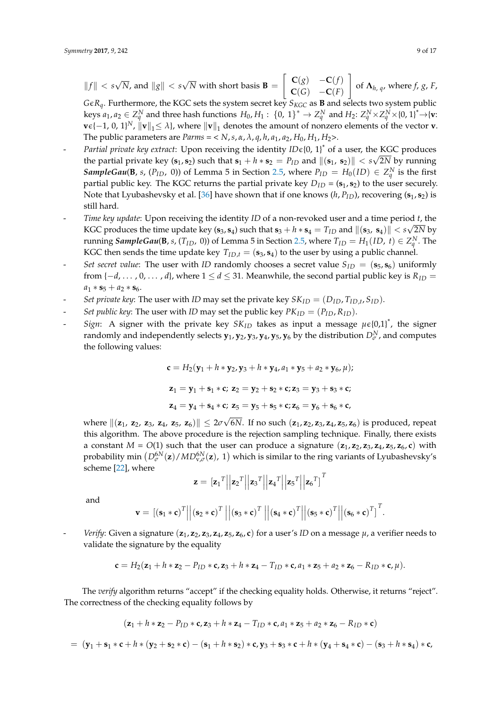$||f|| < s$ √ *N*, and  $\|g\| < s$ √ *N* with short basis  $B =$  $\begin{bmatrix} \mathbf{C}(g) & -\mathbf{C}(f) \end{bmatrix}$  $C(G) - C(F)$ 1 of **Λ***h*, *<sup>q</sup>* , where *f*, *g*, *F*,

 $G \in R_q$ . Furthermore, the KGC sets the system secret key  $S_{KGC}$  as **B** and selects two system public keys  $a_1,a_2\in Z^N_q$  and three hash functions  $H_0,H_1:\ \{0,\ 1\}^*\to Z^N_q$  and  $H_2\hbox{:}\ Z^N_q\times Z^N_q \times \{0,\ 1\}^*\to \{$ v: **v** $\epsilon$ {−1, 0, 1}<sup>*N*</sup>,  $\|\mathbf{v}\|_1 \le \lambda$ }, where  $\|\mathbf{v}\|_1$  denotes the amount of nonzero elements of the vector **v**. The public parameters are *Parms* = < *N*, *s*,  $\alpha$ ,  $\lambda$ ,  $q$ ,  $h$ ,  $a_1$ ,  $a_2$ ,  $H_0$ ,  $H_1$ ,  $H_2$ >.

- *Partial private key extract*: Upon receiving the identity  $ID \in \{0, 1\}^*$  of a user, the KGC produces the partial private key ( $\mathbf{s}_1$ , $\mathbf{s}_2$ ) such that  $\mathbf{s}_1 + h * \mathbf{s}_2 = P_{ID}$  and  $\|(\mathbf{s}_1, \, \mathbf{s}_2)\| < s\sqrt{2N}$  by running *SampleGau*(*B*, *s*, (*P*<sub>*ID*</sub>, 0)) of Lemma 5 in Section [2.5,](#page-4-0) where  $P_{ID} = H_0(ID) \in Z_q^N$  is the first partial public key. The KGC returns the partial private key  $D_{ID} = (\mathbf{s}_1, \mathbf{s}_2)$  to the user securely. Note that Lyubashevsky et al. [\[36\]](#page-16-14) have shown that if one knows  $(h, P_{ID})$ , recovering  $(s_1, s_2)$  is still hard.
- *Time key update*: Upon receiving the identity *ID* of a non-revoked user and a time period *t*, the √ KGC produces the time update key  $(\mathbf{s}_3, \mathbf{s}_4)$  such that  $\mathbf{s}_3 + h*\mathbf{s}_4 = T_{ID}$  and  $\|(\mathbf{s}_3, \ \mathbf{s}_4)\| < s\sqrt{2}N$  by running  $\textit{SampleGau}(\mathbf{B}, s, (T_{ID}, 0))$  of Lemma 5 in Section [2.5,](#page-4-0) where  $T_{ID} = H_1(ID, t) \in Z_q^N$ . The KGC then sends the time update key  $T_{ID,t} = (\mathbf{s}_3, \mathbf{s}_4)$  to the user by using a public channel.
- *Set secret value*: The user with *ID* randomly chooses a secret value  $S_{ID} = (\mathbf{s}_5, \mathbf{s}_6)$  uniformly from  $\{-d, \ldots, 0, \ldots, d\}$ , where  $1 \leq d \leq 31$ . Meanwhile, the second partial public key is  $R_{ID} =$  $a_1 * s_5 + a_2 * s_6$ .
- *Set private key*: The user with *ID* may set the private key *SKID* = (*DID*, *TID*,*<sup>t</sup>* , *SID*).
- *Set public key:* The user with *ID* may set the public key  $PK_{ID} = (P_{ID}, R_{ID})$ .
- *Sign*: A signer with the private key  $SK_{ID}$  takes as input a message  $\mu \epsilon \{0,1\}^*$ , the signer randomly and independently selects  $y_1$ ,  $y_2$ ,  $y_3$ ,  $y_4$ ,  $y_5$ ,  $y_6$  by the distribution  $D^N_\sigma$ , and computes the following values:

$$
\mathbf{c} = H_2(\mathbf{y}_1 + h * \mathbf{y}_2, \mathbf{y}_3 + h * \mathbf{y}_4, a_1 * \mathbf{y}_5 + a_2 * \mathbf{y}_6, \mu);
$$
  
\n
$$
\mathbf{z}_1 = \mathbf{y}_1 + \mathbf{s}_1 * \mathbf{c}; \ \mathbf{z}_2 = \mathbf{y}_2 + \mathbf{s}_2 * \mathbf{c}; \mathbf{z}_3 = \mathbf{y}_3 + \mathbf{s}_3 * \mathbf{c};
$$
  
\n
$$
\mathbf{z}_4 = \mathbf{y}_4 + \mathbf{s}_4 * \mathbf{c}; \ \mathbf{z}_5 = \mathbf{y}_5 + \mathbf{s}_5 * \mathbf{c}; \mathbf{z}_6 = \mathbf{y}_6 + \mathbf{s}_6 * \mathbf{c},
$$

where  $\|$ ( $\mathbf{z}_1$ ,  $\mathbf{z}_2$ ,  $\mathbf{z}_3$ ,  $\mathbf{z}_4$ ,  $\mathbf{z}_5$ ,  $\mathbf{z}_6$ ) $\| \leq 2\sigma$ √ 6*N*. If no such (**z**1, **z**2, **z**3, **z**4, **z**5, **z**6) is produced, repeat this algorithm. The above procedure is the rejection sampling technique. Finally, there exists a constant  $M = O(1)$  such that the user can produce a signature  $(\mathbf{z}_1, \mathbf{z}_2, \mathbf{z}_3, \mathbf{z}_4, \mathbf{z}_5, \mathbf{z}_6, \mathbf{c})$  with probability min  $\left(D^{6N}_{\sigma}(\mathbf{z})/MD^{6N}_{\mathbf{v},\sigma}(\mathbf{z})$ , 1) which is similar to the ring variants of Lyubashevsky's scheme [\[22\]](#page-16-1), where

$$
\mathbf{z} = [\mathbf{z}_1^T || \mathbf{z}_2^T || \mathbf{z}_3^T || \mathbf{z}_4^T || \mathbf{z}_5^T || \mathbf{z}_6^T ]^T
$$

and

$$
\mathbf{v} = \left[ \left( \mathbf{s}_1 \ast \mathbf{c} \right)^T \middle| \middle| \left( \mathbf{s}_2 \ast \mathbf{c} \right)^T \middle| \middle| \left( \mathbf{s}_3 \ast \mathbf{c} \right)^T \middle| \middle| \left( \mathbf{s}_4 \ast \mathbf{c} \right)^T \middle| \middle| \left( \mathbf{s}_5 \ast \mathbf{c} \right)^T \middle| \middle| \left( \mathbf{s}_6 \ast \mathbf{c} \right)^T \right]^T.
$$

*Verify*: Given a signature  $(\mathbf{z}_1, \mathbf{z}_2, \mathbf{z}_3, \mathbf{z}_4, \mathbf{z}_5, \mathbf{z}_6, \mathbf{c})$  for a user's *ID* on a message  $\mu$ , a verifier needs to validate the signature by the equality

$$
\mathbf{c}=H_2(\mathbf{z}_1+h*\mathbf{z}_2-P_{ID}*\mathbf{c},\mathbf{z}_3+h*\mathbf{z}_4-T_{ID}*\mathbf{c},a_1*\mathbf{z}_5+a_2*\mathbf{z}_6-R_{ID}*\mathbf{c},\mu).
$$

The *verify* algorithm returns "accept" if the checking equality holds. Otherwise, it returns "reject". The correctness of the checking equality follows by

$$
(\mathbf{z}_1 + h * \mathbf{z}_2 - P_{ID} * \mathbf{c}, \mathbf{z}_3 + h * \mathbf{z}_4 - T_{ID} * \mathbf{c}, a_1 * \mathbf{z}_5 + a_2 * \mathbf{z}_6 - R_{ID} * \mathbf{c})
$$

 $= (y_1 + s_1 * c + h * (y_2 + s_2 * c) - (s_1 + h * s_2) * c, y_3 + s_3 * c + h * (y_4 + s_4 * c) - (s_3 + h * s_4) * c,$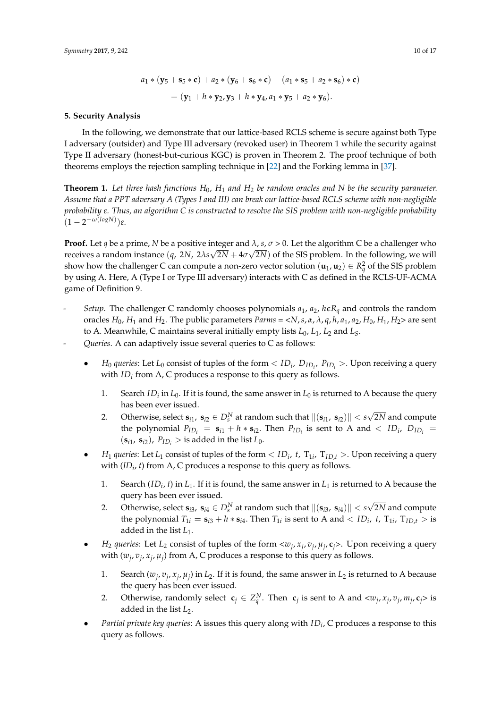$$
a_1 * (\mathbf{y}_5 + \mathbf{s}_5 * \mathbf{c}) + a_2 * (\mathbf{y}_6 + \mathbf{s}_6 * \mathbf{c}) - (a_1 * \mathbf{s}_5 + a_2 * \mathbf{s}_6) * \mathbf{c})
$$
  
= (\mathbf{y}\_1 + h \* \mathbf{y}\_2, \mathbf{y}\_3 + h \* \mathbf{y}\_4, a\_1 \* \mathbf{y}\_5 + a\_2 \* \mathbf{y}\_6).

#### <span id="page-9-0"></span>**5. Security Analysis**

In the following, we demonstrate that our lattice-based RCLS scheme is secure against both Type I adversary (outsider) and Type III adversary (revoked user) in Theorem 1 while the security against Type II adversary (honest-but-curious KGC) is proven in Theorem 2. The proof technique of both theorems employs the rejection sampling technique in [\[22\]](#page-16-1) and the Forking lemma in [\[37\]](#page-16-15).

**Theorem 1.** Let three hash functions  $H_0$ ,  $H_1$  and  $H_2$  be random oracles and N be the security parameter. *Assume that a PPT adversary A (Types I and III) can break our lattice-based RCLS scheme with non-negligible probability ε. Thus, an algorithm C is constructed to resolve the SIS problem with non-negligible probability*  $(1 − 2<sup>−ω(logN)</sup>) ε.$ 

**Proof.** Let *q* be a prime, *N* be a positive integer and *λ*, *s*, *σ* > 0. Let the algorithm C be a challenger who receives a random instance (*q*, 2*N*, 2*λs* $\sqrt{2}N + 4\sigma\sqrt{2}N$ ) of the SIS problem. In the following, we will show how the challenger C can compute a non-zero vector solution  $(\mathbf{u}_1, \mathbf{u}_2) \in R_q^2$  of the SIS problem by using A. Here, A (Type I or Type III adversary) interacts with C as defined in the RCLS-UF-ACMA game of Definition 9.

- *Setup*. The challenger C randomly chooses polynomials  $a_1$ ,  $a_2$ ,  $h \in R_q$  and controls the random oracles *H*0, *H*<sup>1</sup> and *H*2. The public parameters *Parms =* <*N*,*s*, *α*, *λ*, *q*, *h*, *a*1, *a*2, *H*0, *H*1, *H*2> are sent to A. Meanwhile, C maintains several initially empty lists *L*0, *L*1, *L*<sup>2</sup> and *LS*.
- *Queries*. A can adaptively issue several queries to C as follows:
	- *H*<sub>0</sub> *queries*: Let *L*<sub>0</sub> consist of tuples of the form  $\langle ID_i, D_{ID_i}, P_{ID_i} \rangle$ . Upon receiving a query with *ID*<sub>*i*</sub> from A, C produces a response to this query as follows.
		- 1. Search  $ID_i$  in  $L_0$ . If it is found, the same answer in  $L_0$  is returned to A because the query has been ever issued. √
		- 2. Otherwise, select  $\mathbf{s}_{i1}$ ,  $\mathbf{s}_{i2} \in D_s^N$  at random such that  $\|(\mathbf{s}_{i1}, \mathbf{s}_{i2})\| < s$ 2*N* and compute the polynomial  $P_{ID_i} = s_{i1} + h * s_{i2}$ . Then  $P_{ID_i}$  is sent to A and  $\lt ID_i$ ,  $D_{ID_i} =$  $(\mathbf{s}_{i1}, \mathbf{s}_{i2})$ ,  $P_{ID_i} >$  is added in the list  $L_0$ .
	- *H*<sub>1</sub> *queries*: Let *L*<sub>1</sub> consist of tuples of the form  $\langle ID_i, t, T_{1i}, T_{ID,t} \rangle$ . Upon receiving a query with (*ID<sup>i</sup>* , *t*) from A, C produces a response to this query as follows.
		- 1. Search  $(ID_i, t)$  in  $L_1$ . If it is found, the same answer in  $L_1$  is returned to A because the query has been ever issued. √
		- 2. Otherwise, select  $\mathbf{s}_{i3}$ ,  $\mathbf{s}_{i4} \in D_s^N$  at random such that  $\|(\mathbf{s}_{i3}, \mathbf{s}_{i4})\| < s$ 2*N* and compute the polynomial  $T_{1i} = s_{i3} + h * s_{i4}$ . Then  $T_{1i}$  is sent to A and  $\lt ID_i$ , t,  $T_{1i}$ ,  $T_{ID,t} >$  is added in the list *L*1.
	- *H*<sub>2</sub> *queries*: Let *L*<sub>2</sub> consist of tuples of the form  $\langle w_j, x_j, v_j, \mu_j, c_j \rangle$ . Upon receiving a query with  $(w_j, v_j, x_j, \mu_j)$  from A, C produces a response to this query as follows.
		- 1. Search  $(w_j, v_j, x_j, \mu_j)$  in  $L_2$ . If it is found, the same answer in  $L_2$  is returned to A because the query has been ever issued.
		- 2. Otherwise, randomly select  $\mathbf{c}_j \in Z_q^N$ . Then  $\mathbf{c}_j$  is sent to A and  $\langle w_j, x_j, v_j, m_j, \mathbf{c}_j \rangle$  is added in the list *L*2.
	- *Partial private key queries*: A issues this query along with *ID<sup>i</sup>* , C produces a response to this query as follows.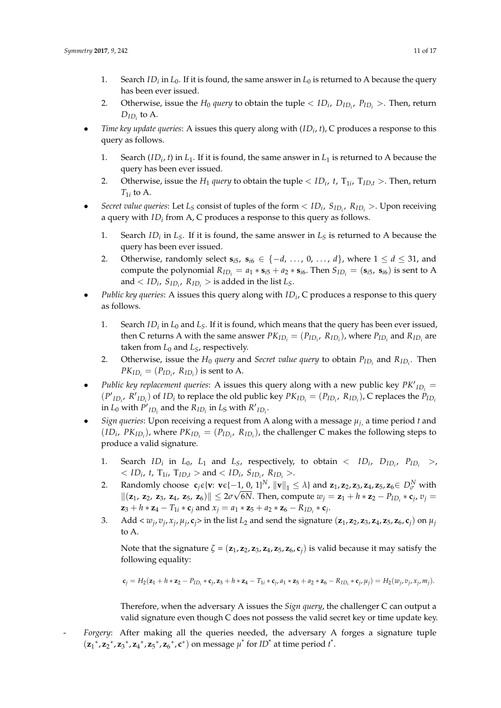- 1. Search  $ID_i$  in  $L_0$ . If it is found, the same answer in  $L_0$  is returned to A because the query has been ever issued.
- 2. Otherwise, issue the  $H_0$  *query* to obtain the tuple  $\langle ID_i, D_{ID_i}, P_{ID_i} \rangle$ . Then, return  $D_{ID_i}$  to A.
- *Time key update queries*: A issues this query along with (*ID<sup>i</sup>* , *t*), C produces a response to this query as follows.
	- 1. Search  $(ID_i, t)$  in  $L_1$ . If it is found, the same answer in  $L_1$  is returned to A because the query has been ever issued.
	- 2. Otherwise, issue the  $H_1$  *query* to obtain the tuple  $\langle ID_i, t, T_{1i}, T_{ID,t} \rangle$ . Then, return  $T_{1i}$  to A.
- *Secret value queries*: Let  $L_S$  consist of tuples of the form  $\langle ID_i, S_{ID_i}, R_{ID_i} \rangle$ . Upon receiving a query with *ID<sup>i</sup>* from A, C produces a response to this query as follows.
	- 1. Search  $ID_i$  in  $L_S$ . If it is found, the same answer in  $L_S$  is returned to A because the query has been ever issued.
	- 2. Otherwise, randomly select  $\mathbf{s}_{i5}$ ,  $\mathbf{s}_{i6} \in \{-d, \ldots, 0, \ldots, d\}$ , where  $1 \leq d \leq 31$ , and compute the polynomial  $R_{ID_i} = a_1 * s_{i5} + a_2 * s_{i6}$ . Then  $S_{ID_i} = (\mathbf{s}_{i5}, \mathbf{s}_{i6})$  is sent to A and  $\langle ID_i, S_{ID_i}, R_{ID_i} \rangle$  is added in the list  $L_S$ .
- *Public key queries*: A issues this query along with *ID<sup>i</sup>* , C produces a response to this query as follows.
	- 1. Search *ID<sup>i</sup>* in *L*<sup>0</sup> and *LS*. If it is found, which means that the query has been ever issued, then C returns A with the same answer  $PK_{ID_i} = (P_{ID_i}, R_{ID_i})$ , where  $P_{ID_i}$  and  $R_{ID_i}$  are taken from  $L_0$  and  $L_S$ , respectively.
	- 2. Otherwise, issue the *H*<sup>0</sup> *query* and *Secret value query* to obtain *PID<sup>i</sup>* and *RID<sup>i</sup>* . Then  $PK_{ID_i} = (P_{ID_i}, R_{ID_i})$  is sent to A.
- *Public key replacement queries:* A issues this query along with a new public key  $PK'_{ID_i}$  =  $(P'_{ID_i}, R'_{ID_i})$  of  $ID_i$  to replace the old public key  $PK_{ID_i} = (P_{ID_i}, R_{ID_i})$ , C replaces the  $P_{ID_i}$ in  $L_0$  with  $P'_{ID_i}$  and the  $R_{ID_i}$  in  $L_S$  with  $R'_{ID_i}$ .
- *Sign queries*: Upon receiving a request from A along with a message *µj*, a time period *t* and  $(ID_i, PK_{ID_i})$ , where  $PK_{ID_i} = (P_{ID_i}, R_{ID_i})$ , the challenger C makes the following steps to produce a valid signature.
	- 1. Search  $ID_i$  in  $L_0$ ,  $L_1$  and  $L_S$ , respectively, to obtain  $\langle ID_i, D_{ID_i}, P_{ID_i} \rangle$ ,  $\langle$  *ID*<sub>*i*</sub>, *t*, T<sub>1</sub><sup>*j*</sup>, T<sub>*ID*</sub>,  $t$  and  $\langle$  *ID*<sub>*i*</sub>, S<sub>*ID*<sub>*i*</sub></sub>, R<sub>*ID*<sub>*i*</sub></sub>  $\geq$ .
	- 2. Randomly choose  $\mathbf{c}_j \in \{ \mathbf{v}: \mathbf{v} \in \{-1, 0, 1\}^N, \|\mathbf{v}\|_1 \leq \lambda \}$  and  $\mathbf{z}_1, \mathbf{z}_2, \mathbf{z}_3, \mathbf{z}_4, \mathbf{z}_5, \mathbf{z}_6 \in D^N_\sigma$  with  $\|(\mathbf{z}_1, \, \mathbf{z}_2, \, \mathbf{z}_3, \, \mathbf{z}_4, \, \mathbf{z}_5, \, \mathbf{z}_6)\| \leq 2\sigma\sqrt{6N}.$  Then, compute  $w_j = \mathbf{z}_1 + h * \mathbf{z}_2 - P_{ID_i} * \mathbf{c}_j$ ,  $v_j =$  $z_3 + h * z_4 - T_{1i} * c_j$  and  $x_j = a_1 * z_5 + a_2 * z_6 - R_{ID_i} * c_j$ .
	- 3. Add  $\langle w_j, v_j, x_j, \mu_j, c_j \rangle$  in the list  $L_2$  and send the signature  $(z_1, z_2, z_3, z_4, z_5, z_6, c_j)$  on  $\mu_j$ to A.

Note that the signature  $\zeta = (\mathbf{z}_1, \mathbf{z}_2, \mathbf{z}_3, \mathbf{z}_4, \mathbf{z}_5, \mathbf{z}_6, \mathbf{c}_i)$  is valid because it may satisfy the following equality:

$$
\mathbf{c}_j = H_2(\mathbf{z}_1 + h * \mathbf{z}_2 - P_{ID_i} * \mathbf{c}_j, \mathbf{z}_3 + h * \mathbf{z}_4 - T_{1i} * \mathbf{c}_j, a_1 * \mathbf{z}_5 + a_2 * \mathbf{z}_6 - R_{ID_i} * \mathbf{c}_j, \mu_j) = H_2(w_j, v_j, x_j, m_j).
$$

Therefore, when the adversary A issues the *Sign query*, the challenger C can output a valid signature even though C does not possess the valid secret key or time update key.

*Forgery*: After making all the queries needed, the adversary A forges a signature tuple  $({\bf z}_1^*, {\bf z}_2^*, {\bf z}_3^*, {\bf z}_4^*, {\bf z}_5^*, {\bf z}_6^*, {\bf c}^*)$  on message  $\mu^*$  for  $ID^*$  at time period  $t^*.$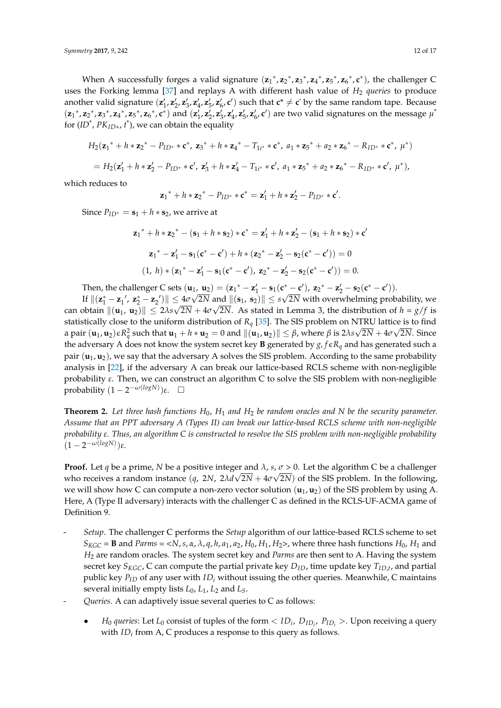When A successfully forges a valid signature  $(\mathbf{z}_1^*, \mathbf{z}_2^*, \mathbf{z}_3^*, \mathbf{z}_4^*, \mathbf{z}_5^*, \mathbf{z}_6^*, c^*)$ , the challenger C uses the Forking lemma [\[37\]](#page-16-15) and replays A with different hash value of *H<sub>2</sub> queries* to produce another valid signature  $(z'_1, z'_2, z'_3, z'_4, z'_5, z'_6, c')$  such that  $c^* \neq c$ ' by the same random tape. Because  $({\bf z}_1^*, {\bf z}_2^*, {\bf z}_3^*, {\bf z}_4^*, {\bf z}_5^*, {\bf z}_6^*, {\bf c}^*)$  and  $({\bf z}_1', {\bf z}_2', {\bf z}_3', {\bf z}_4', {\bf z}_5', {\bf z}_6', {\bf c}')$  are two valid signatures on the message  $\mu^*$ for (*ID*\* , *PKID*∗, *t* \* ), we can obtain the equality

$$
H_2(\mathbf{z}_1^* + h * \mathbf{z}_2^* - P_{ID^*} * \mathbf{c}^*, \mathbf{z}_3^* + h * \mathbf{z}_4^* - T_{1i^*} * \mathbf{c}^*, a_1 * \mathbf{z}_5^* + a_2 * \mathbf{z}_6^* - R_{ID^*} * \mathbf{c}^*, \mu^*)
$$
  
=  $H_2(\mathbf{z}_1' + h * \mathbf{z}_2' - P_{ID^*} * \mathbf{c}', \mathbf{z}_3' + h * \mathbf{z}_4' - T_{1i^*} * \mathbf{c}', a_1 * \mathbf{z}_5^* + a_2 * \mathbf{z}_6^* - R_{ID^*} * \mathbf{c}', \mu^*),$ 

which reduces to

$$
{\bf z}_1^* + h * {\bf z}_2^* - P_{ID^*} * {\bf c}^* = {\bf z}'_1 + h * {\bf z}'_2 - P_{ID^*} * {\bf c}'.
$$

Since  $P_{ID^*} = \mathbf{s}_1 + h * \mathbf{s}_2$ , we arrive at

$$
\mathbf{z}_{1}^{*} + h * \mathbf{z}_{2}^{*} - (\mathbf{s}_{1} + h * \mathbf{s}_{2}) * \mathbf{c}^{*} = \mathbf{z}_{1}' + h * \mathbf{z}_{2}' - (\mathbf{s}_{1} + h * \mathbf{s}_{2}) * \mathbf{c}'
$$

$$
\mathbf{z}_{1}^{*} - \mathbf{z}_{1}' - \mathbf{s}_{1}(\mathbf{c}^{*} - \mathbf{c}') + h * (\mathbf{z}_{2}^{*} - \mathbf{z}_{2}' - \mathbf{s}_{2}(\mathbf{c}^{*} - \mathbf{c}')) = 0
$$

$$
(1, h) * (\mathbf{z}_{1}^{*} - \mathbf{z}_{1}' - \mathbf{s}_{1}(\mathbf{c}^{*} - \mathbf{c}'), \mathbf{z}_{2}^{*} - \mathbf{z}_{2}' - \mathbf{s}_{2}(\mathbf{c}^{*} - \mathbf{c}')) = 0.
$$

Then, the challenger C sets  $(\mathbf{u}_1, \mathbf{u}_2) = (\mathbf{z}_1^* - \mathbf{z}_1' - \mathbf{s}_1(\mathbf{c}^* - \mathbf{c}'), \mathbf{z}_2^* - \mathbf{z}_2' - \mathbf{s}_2(\mathbf{c}^* - \mathbf{c}'))$ .

 $\text{If } \|\mathbf{z}_1^* - \mathbf{z}_1\prime, \mathbf{z}_2^* - \mathbf{z}_2\prime\| \leq 4\sigma\sqrt{2N} \text{ and } \|(s_1, s_2)\| \leq s\sqrt{2N} \text{ with overwhelming probability, we}$ can obtain  $\|(\mathbf{u}_1, \mathbf{u}_2)\| \le 2\lambda s\sqrt{2N} + 4\sigma\sqrt{2N}$ . As stated in Lemma 3, the distribution of  $h = g/f$  is statistically close to the uniform distribution of  $R_q$  [\[35\]](#page-16-13). The SIS problem on NTRU lattice is to find  $a$  pair  $(\mathbf{u}_1, \mathbf{u}_2) \in R^2_q$  such that  $\mathbf{u}_1 + h * \mathbf{u}_2 = 0$  and  $\|(\mathbf{u}_1, \mathbf{u}_2)\| \leq \beta$ , where  $\beta$  is 2 $\lambda s\sqrt{2N} + 4\sigma\sqrt{2N}$ . Since the adversary A does not know the system secret key **B** generated by  $g$ ,  $f \in R_q$  and has generated such a pair  $(\mathbf{u}_1, \mathbf{u}_2)$ , we say that the adversary A solves the SIS problem. According to the same probability analysis in [\[22\]](#page-16-1), if the adversary A can break our lattice-based RCLS scheme with non-negligible probability *ε*. Then, we can construct an algorithm C to solve the SIS problem with non-negligible  $\text{probability } (1 - 2^{-\omega(logN)}) ε. \quad □$ 

**Theorem 2.** Let three hash functions  $H_0$ ,  $H_1$  and  $H_2$  be random oracles and N be the security parameter. *Assume that an PPT adversary A (Types II) can break our lattice-based RCLS scheme with non-negligible probability ε. Thus, an algorithm C is constructed to resolve the SIS problem with non-negligible probability*  $(1 − 2<sup>−ω(logN)</sup>) ε.$ 

**Proof.** Let *q* be a prime, *N* be a positive integer and  $\lambda$ , *s*,  $\sigma > 0$ . Let the algorithm C be a challenger who receives a random instance (*q*, 2*N*, 2 $\lambda d\sqrt{2N}$  + 4 $\sigma\sqrt{2N}$ ) of the SIS problem. In the following, we will show how C can compute a non-zero vector solution  $(\mathbf{u}_1, \mathbf{u}_2)$  of the SIS problem by using A. Here, A (Type II adversary) interacts with the challenger C as defined in the RCLS-UF-ACMA game of Definition 9.

- *Setup*. The challenger C performs the *Setup* algorithm of our lattice-based RCLS scheme to set  $S_{KGC}$  = **B** and *Parms* = <*N*, *s*,  $\alpha$ ,  $\lambda$ ,  $q$ ,  $h$ ,  $a_1$ ,  $a_2$ ,  $H_0$ ,  $H_1$ ,  $H_2$ >, where three hash functions  $H_0$ ,  $H_1$  and *H*<sup>2</sup> are random oracles. The system secret key and *Parms* are then sent to A. Having the system secret key *SKGC*, C can compute the partial private key *DID*, time update key *TID*,*<sup>t</sup>* , and partial public key *PID* of any user with *ID<sup>i</sup>* without issuing the other queries. Meanwhile, C maintains several initially empty lists *L*0, *L*1, *L*<sup>2</sup> and *LS*.
- *Queries*. A can adaptively issue several queries to C as follows:
	- *H*<sub>0</sub> *queries*: Let *L*<sub>0</sub> consist of tuples of the form  $\langle ID_i, D_{ID_i}, P_{ID_i} \rangle$ . Upon receiving a query with *ID*<sub>*i*</sub> from A, C produces a response to this query as follows.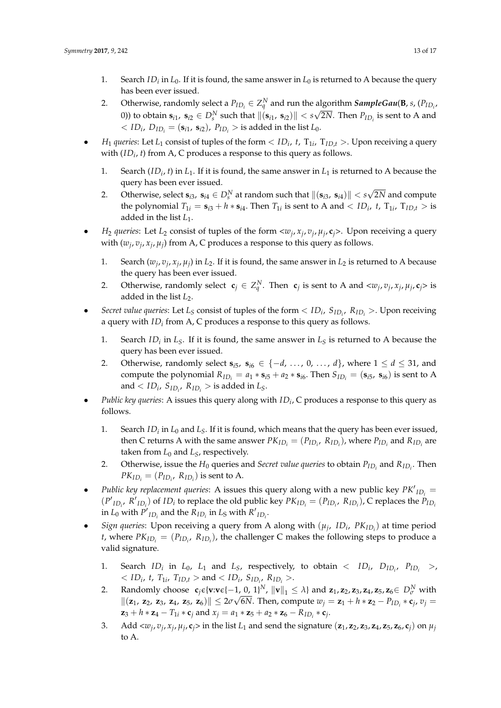- 1. Search  $ID_i$  in  $L_0$ . If it is found, the same answer in  $L_0$  is returned to A because the query has been ever issued.
- 2. Otherwise, randomly select a  $P_{ID_i} \in Z_q^N$  and run the algorithm  $SampleGau(\mathbf{B}, s, (P_{ID_i}, \mathbf{A}, \mathbf{B}, \mathbf{B}))$ 0)) to obtain  $\mathbf{s}_{i1}$ ,  $\mathbf{s}_{i2} \in D_s^N$  such that  $\|(\mathbf{s}_{i1},\,\mathbf{s}_{i2})\| < s\sqrt{2N}$ . Then  $P_{ID_i}$  is sent to A and  $<$  *ID*<sub>*i*</sub></sub>, *D*<sub>*ID*<sub>*i*</sub></sub> = ( $\mathbf{s}_{i1}$ ,  $\mathbf{s}_{i2}$ ), *P*<sub>*IDi*</sub> > is added in the list *L*<sub>0</sub>.
- *H*<sub>1</sub> *queries*: Let *L*<sub>1</sub> consist of tuples of the form  $\langle ID_i, t, T_{1i}, T_{ID,t} \rangle$ . Upon receiving a query with (*ID<sup>i</sup>* , *t*) from A, C produces a response to this query as follows.
	- 1. Search  $(ID_i, t)$  in  $L_1$ . If it is found, the same answer in  $L_1$  is returned to A because the query has been ever issued. √
	- 2. Otherwise, select  $\mathbf{s}_{i3}$ ,  $\mathbf{s}_{i4} \in D_s^N$  at random such that  $\|(\mathbf{s}_{i3}, \mathbf{s}_{i4})\| < s$ 2*N* and compute the polynomial  $T_{1i} = s_{i3} + h * s_{i4}$ . Then  $T_{1i}$  is sent to A and  $\lt ID_i$ ,  $t$ ,  $T_{1i}$ ,  $T_{ID,t} >$  is added in the list *L*1.
- *H*<sub>2</sub> *queries*: Let *L*<sub>2</sub> consist of tuples of the form  $\langle w_j, x_j, v_j, \mu_j, c_j \rangle$ . Upon receiving a query with  $(w_j, v_j, x_j, \mu_j)$  from A, C produces a response to this query as follows.
	- 1. Search  $(w_j, v_j, x_j, \mu_j)$  in  $L_2$ . If it is found, the same answer in  $L_2$  is returned to A because the query has been ever issued.
	- 2. Otherwise, randomly select  $\mathbf{c}_j \in Z_q^N$ . Then  $\mathbf{c}_j$  is sent to A and  $\langle w_j, v_j, x_j, \mu_j, \mathbf{c}_j \rangle$  is added in the list *L*2.
- *Secret value queries*: Let  $L_S$  consist of tuples of the form  $\langle ID_i, S_{ID_i}, R_{ID_i} \rangle$ . Upon receiving a query with *ID<sup>i</sup>* from A, C produces a response to this query as follows.
	- 1. Search  $ID_i$  in  $L_S$ . If it is found, the same answer in  $L_S$  is returned to A because the query has been ever issued.
	- 2. Otherwise, randomly select  $\mathbf{s}_{i5}$ ,  $\mathbf{s}_{i6} \in \{-d, \ldots, 0, \ldots, d\}$ , where  $1 \leq d \leq 31$ , and compute the polynomial  $R_{ID_i} = a_1 * s_{i5} + a_2 * s_{i6}$ . Then  $S_{ID_i} = (\mathbf{s}_{i5}, \mathbf{s}_{i6})$  is sent to A and  $\langle ID_i, S_{ID_i}, R_{ID_i} \rangle$  is added in  $L_S$ .
- *Public key queries*: A issues this query along with *ID<sup>i</sup>* , C produces a response to this query as follows.
	- 1. Search *ID<sup>i</sup>* in *L*<sup>0</sup> and *LS*. If it is found, which means that the query has been ever issued, then C returns A with the same answer  $PK_{ID_i} = (P_{ID_i}, R_{ID_i})$ , where  $P_{ID_i}$  and  $R_{ID_i}$  are taken from  $L_0$  and  $L_S$ , respectively.
	- 2. Otherwise, issue the *H*<sup>0</sup> queries and *Secret value queries* to obtain *PID<sup>i</sup>* and *RID<sup>i</sup>* . Then  $PK_{ID_i} = (P_{ID_i}, R_{ID_i})$  is sent to A.
- *Public key replacement queries:* A issues this query along with a new public key  $PK'_{ID_i}$  =  $(P'_{ID_i}, R'_{ID_i})$  of  $ID_i$  to replace the old public key  $PK_{ID_i} = (P_{ID_i}, R_{ID_i})$ , C replaces the  $P_{ID_i}$ in  $L_0$  with  $P'_{ID_i}$  and the  $R_{ID_i}$  in  $L_S$  with  $R'_{ID_i}$ .
- *Sign queries*: Upon receiving a query from A along with  $(\mu_j, ID_i, PK_{ID_i})$  at time period *t*, where  $PK_{ID_i} = (P_{ID_i}, R_{ID_i})$ , the challenger C makes the following steps to produce a valid signature.
	- 1. Search  $ID_i$  in  $L_0$ ,  $L_1$  and  $L_S$ , respectively, to obtain  $\langle ID_i, D_{ID_i}, P_{ID_i} \rangle$ ,  $\langle$  *ID*<sub>*i*</sub>, *t*, *T*<sub>1*i*</sub>, *T*<sub>*ID*</sub>,  $\geq$  and  $\langle$  *ID*<sub>*i*</sub>, *S*<sub>*ID*<sub>*i*</sub></sub>, *R*<sub>*ID*</sub><sub>*i*</sub>  $\geq$ .
	- 2. Randomly choose  $\mathbf{c}_j \in \{ \mathbf{v}: \mathbf{v} \in \{-1, 0, 1\}^N, \|\mathbf{v}\|_1 \leq \lambda \}$  and  $\mathbf{z}_1, \mathbf{z}_2, \mathbf{z}_3, \mathbf{z}_4, \mathbf{z}_5, \mathbf{z}_6 \in D^N_\sigma$  with  $\|(\mathbf{z}_1, \, \mathbf{z}_2, \, \mathbf{z}_3, \, \mathbf{z}_4, \, \mathbf{z}_5, \, \mathbf{z}_6)\| \leq 2\sigma\sqrt{6N}.$  Then, compute  $w_j = \mathbf{z}_1 + h * \mathbf{z}_2 - P_{ID_i} * \mathbf{c}_j$ ,  $v_j =$  $z_3 + h * z_4 - T_{1i} * c_j$  and  $x_j = a_1 * z_5 + a_2 * z_6 - R_{ID_i} * c_j$ .
	- 3. Add  $\langle w_j, v_j, x_j, \mu_j, c_j \rangle$  in the list  $L_1$  and send the signature  $(z_1, z_2, z_3, z_4, z_5, z_6, c_j)$  on  $\mu_j$ to A.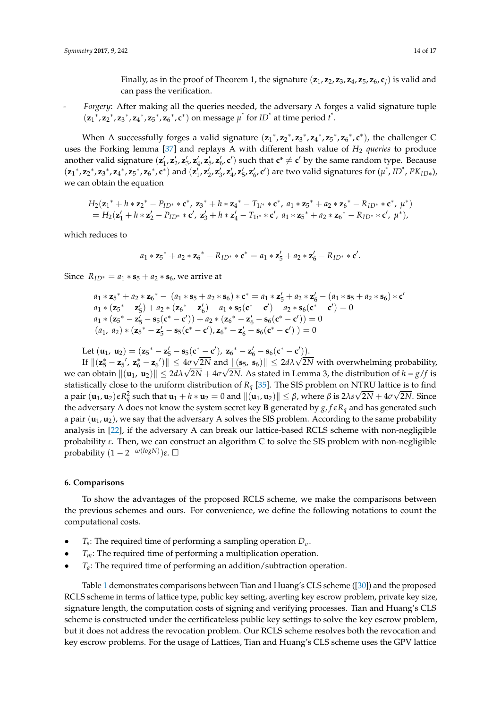Finally, as in the proof of Theorem 1, the signature  $(\mathbf{z}_1, \mathbf{z}_2, \mathbf{z}_3, \mathbf{z}_4, \mathbf{z}_5, \mathbf{z}_6, \mathbf{c}_i)$  is valid and can pass the verification.

- *Forgery*: After making all the queries needed, the adversary A forges a valid signature tuple  $({\bf z}_1^*, {\bf z}_2^*, {\bf z}_3^*, {\bf z}_4^*, {\bf z}_5^*, {\bf z}_6^*, {\bf c}^*)$  on message  $\mu^*$  for  $ID^*$  at time period  $t^*.$ 

When A successfully forges a valid signature  $(\mathbf{z}_1^*, \mathbf{z}_2^*, \mathbf{z}_3^*, \mathbf{z}_4^*, \mathbf{z}_5^*, \mathbf{z}_6^*, c^*)$ , the challenger C uses the Forking lemma [\[37\]](#page-16-15) and replays A with different hash value of *H*<sub>2</sub> *queries* to produce another valid signature  $(z'_1, z'_2, z'_3, z'_4, z'_5, z'_6, c')$  such that  $c^* \neq c'$  by the same random type. Because  $({\bf z}_1^*, {\bf z}_2^*, {\bf z}_3^*, {\bf z}_4^*, {\bf z}_5^*, {\bf z}_6^*, {\bf c}^*)$  and  $({\bf z}_1', {\bf z}_2', {\bf z}_3', {\bf z}_4', {\bf z}_5', {\bf z}_6', {\bf c}')$  are two valid signatures for  $(\mu^*, I\!D^*, P K_{ID*})$ , we can obtain the equation

$$
H_2(\mathbf{z}_1^* + h * \mathbf{z}_2^* - P_{ID^*} * \mathbf{c}^*, \mathbf{z}_3^* + h * \mathbf{z}_4^* - T_{1i^*} * \mathbf{c}^*, a_1 * \mathbf{z}_5^* + a_2 * \mathbf{z}_6^* - R_{ID^*} * \mathbf{c}^*, \mu^*)
$$
  
=  $H_2(\mathbf{z}_1' + h * \mathbf{z}_2' - P_{ID^*} * \mathbf{c}', \mathbf{z}_3' + h * \mathbf{z}_4' - T_{1i^*} * \mathbf{c}', a_1 * \mathbf{z}_5^* + a_2 * \mathbf{z}_6^* - R_{ID^*} * \mathbf{c}', \mu^*),$ 

which reduces to

$$
a_1 * \mathbf{z}_5^* + a_2 * \mathbf{z}_6^* - R_{ID^*} * \mathbf{c}^* = a_1 * \mathbf{z}_5' + a_2 * \mathbf{z}_6' - R_{ID^*} * \mathbf{c}'.
$$

Since  $R_{ID^*} = a_1 * s_5 + a_2 * s_6$ , we arrive at

$$
a_1 * z_5^* + a_2 * z_6^* - (a_1 * s_5 + a_2 * s_6) * c^* = a_1 * z'_5 + a_2 * z'_6 - (a_1 * s_5 + a_2 * s_6) * c'
$$
  
\n
$$
a_1 * (z_5^* - z'_5) + a_2 * (z_6^* - z'_6) - a_1 * s_5(c^* - c') - a_2 * s_6(c^* - c') = 0
$$
  
\n
$$
a_1 * (z_5^* - z'_5 - s_5(c^* - c')) + a_2 * (z_6^* - z'_6 - s_6(c^* - c')) = 0
$$
  
\n
$$
(a_1, a_2) * (z_5^* - z'_5 - s_5(c^* - c'), z_6^* - z'_6 - s_6(c^* - c')) = 0
$$

Let  $(\mathbf{u}_1, \mathbf{u}_2) = (\mathbf{z}_5^* - \mathbf{z}_5' - \mathbf{s}_5(\mathbf{c}^* - \mathbf{c}'), \mathbf{z}_6^* - \mathbf{z}_6' - \mathbf{s}_6(\mathbf{c}^* - \mathbf{c}'))$ 

 $\text{If } \|\mathbf{z}_5^* - \mathbf{z}_5', \mathbf{z}_6^* - \mathbf{z}_6''\| \leq 4\sigma\sqrt{2N} \text{ and } \|\mathbf{z}_5, \mathbf{s}_6\| \leq 2d\lambda\sqrt{2N} \text{ with overwhelming probability,}$ we can obtain  $\|(\mathbf{u}_1, \mathbf{u}_2)\| \leq 2d\lambda\sqrt{2N+4\sigma\sqrt{2N}}$ . As stated in Lemma 3, the distribution of  $h = g/f$  is statistically close to the uniform distribution of  $R_q$  [\[35\]](#page-16-13). The SIS problem on NTRU lattice is to find  $a$  pair  $(\mathbf{u}_1,\mathbf{u}_2)$ ε $R_q^2$  such that  $\mathbf{u}_1+h*\mathbf{u}_2=0$  and  $\|(\mathbf{u}_1,\mathbf{u}_2)\|\leq \beta$ , where  $\beta$  is 2 $\lambda s\sqrt{2N}+4\sigma\sqrt{2N}.$  Since the adversary A does not know the system secret key **B** generated by  $g, f \in R_q$  and has generated such a pair  $(\mathbf{u}_1, \mathbf{u}_2)$ , we say that the adversary A solves the SIS problem. According to the same probability analysis in [\[22\]](#page-16-1), if the adversary A can break our lattice-based RCLS scheme with non-negligible probability *ε*. Then, we can construct an algorithm C to solve the SIS problem with non-negligible  $\text{probability } (1 − 2^{-ω(logN)}) ε. □$ 

#### <span id="page-13-0"></span>**6. Comparisons**

To show the advantages of the proposed RCLS scheme, we make the comparisons between the previous schemes and ours. For convenience, we define the following notations to count the computational costs.

- *T<sub>s</sub>*: The required time of performing a sampling operation  $D_{\sigma}$ .
- *Tm*: The required time of performing a multiplication operation.
- $T_a$ : The required time of performing an addition/subtraction operation.

Table [1](#page-14-1) demonstrates comparisons between Tian and Huang's CLS scheme ([\[30\]](#page-16-8)) and the proposed RCLS scheme in terms of lattice type, public key setting, averting key escrow problem, private key size, signature length, the computation costs of signing and verifying processes. Tian and Huang's CLS scheme is constructed under the certificateless public key settings to solve the key escrow problem, but it does not address the revocation problem. Our RCLS scheme resolves both the revocation and key escrow problems. For the usage of Lattices, Tian and Huang's CLS scheme uses the GPV lattice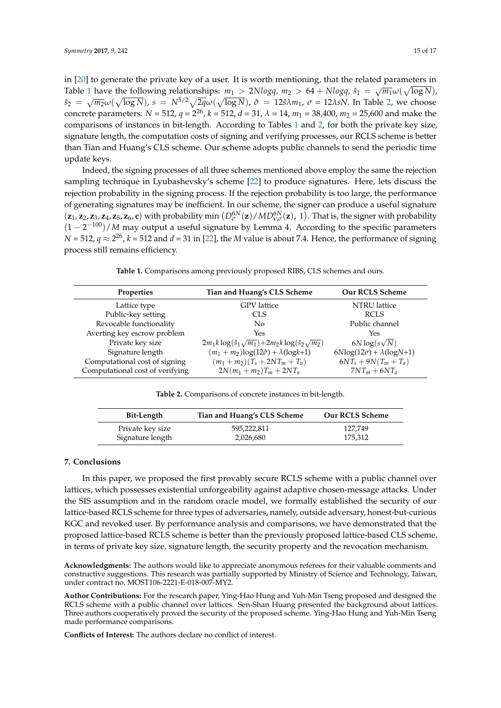in [\[20\]](#page-15-15) to generate the private key of a user. It is worth mentioning, that the related parameters in Table [1](#page-14-1) have the following relationships:  $m_1 > 2Nlogq$ ,  $m_2 > 64 + Nlogq$ ,  $\hat{s}_1 = \sqrt{m_1}\omega(\sqrt{\log N})$ ,  $\hat{s}_2 = \sqrt{m_2} \omega (\sqrt{\log N})$ ,  $s = N^{5/2} \sqrt{2q} \omega (\sqrt{\log N})$ ,  $\hat{\sigma} = 12 \hat{s} \lambda m_1$ ,  $\sigma = 12 \hat{s} \lambda N$ . In Table [2,](#page-14-2) we choose concrete parameters:  $N = 512$ ,  $q = 2^{26}$ ,  $k = 512$ ,  $d = 31$ ,  $\lambda = 14$ ,  $m_1 = 38,400$ ,  $m_2 = 25,600$  and make the comparisons of instances in bit-length. According to Tables [1](#page-14-1) and [2,](#page-14-2) for both the private key size, signature length, the computation costs of signing and verifying processes, our RCLS scheme is better than Tian and Huang's CLS scheme. Our scheme adopts public channels to send the periodic time update keys.

Indeed, the signing processes of all three schemes mentioned above employ the same the rejection sampling technique in Lyubashevsky's scheme [\[22\]](#page-16-1) to produce signatures. Here, lets discuss the rejection probability in the signing process. If the rejection probability is too large, the performance of generating signatures may be inefficient. In our scheme, the signer can produce a useful signature  $(z_1, z_2, z_3, z_4, z_5, z_6, c)$  with probability min  $(D_{\sigma}^{6N}(z)/MD_{v,\sigma}^{6N}(z), 1)$ . That is, the signer with probability  $(1-2^{-100})/M$  may output a useful signature by Lemma 4. According to the specific parameters *N* = 512,  $q \approx 2^{26}$ ,  $k$  = 512 and *d* = 31 in [\[22\]](#page-16-1), the *M* value is about 7.4. Hence, the performance of signing process still remains efficiency.

**Table 1.** Comparisons among previously proposed RIBS, CLS schemes and ours.

<span id="page-14-1"></span>

| <b>Properties</b>               | Tian and Huang's CLS Scheme                                     | <b>Our RCLS Scheme</b>              |
|---------------------------------|-----------------------------------------------------------------|-------------------------------------|
| Lattice type                    | <b>GPV</b> lattice                                              | <b>NTRU</b> lattice                 |
| Public-key setting              | CLS.                                                            | <b>RCLS</b>                         |
| Revocable functionality         | No                                                              | Public channel                      |
| Averting key escrow problem     | Yes                                                             | Yes                                 |
| Private key size                | $2m_1k\log(\hat{s}_1\sqrt{m_1})+2m_2k\log(\hat{s}_2\sqrt{m_2})$ | $6N\log(s\sqrt{N})$                 |
| Signature length                | $(m_1 + m_2)\log(12\hat{\sigma}) + \lambda(\log k + 1)$         | $6Nlog(12\sigma) + \lambda(logN+1)$ |
| Computational cost of signing   | $(m_1 + m_2)(T_s + 2NT_m + T_a)$                                | $6NT_s + 9N(T_m + T_a)$             |
| Computational cost of verifying | $2N(m_1 + m_2)T_m + 2NT_a$                                      | $7NT_m + 6NT_a$                     |

**Table 2.** Comparisons of concrete instances in bit-length.

<span id="page-14-2"></span>

| Bit-Length       | Tian and Huang's CLS Scheme | <b>Our RCLS Scheme</b> |
|------------------|-----------------------------|------------------------|
| Private key size | 595,222,811                 | 127.749                |
| Signature length | 2,026,680                   | 175.312                |

#### <span id="page-14-0"></span>**7. Conclusions**

In this paper, we proposed the first provably secure RCLS scheme with a public channel over lattices, which possesses existential unforgeability against adaptive chosen-message attacks. Under the SIS assumption and in the random oracle model, we formally established the security of our lattice-based RCLS scheme for three types of adversaries, namely, outside adversary, honest-but-curious KGC and revoked user. By performance analysis and comparisons, we have demonstrated that the proposed lattice-based RCLS scheme is better than the previously proposed lattice-based CLS scheme, in terms of private key size, signature length, the security property and the revocation mechanism.

**Acknowledgments:** The authors would like to appreciate anonymous referees for their valuable comments and constructive suggestions. This research was partially supported by Ministry of Science and Technology, Taiwan, under contract no. MOST106-2221-E-018-007-MY2.

**Author Contributions:** For the research paper, Ying-Hao Hung and Yuh-Min Tseng proposed and designed the RCLS scheme with a public channel over lattices. Sen-Shan Huang presented the background about lattices. Three authors cooperatively proved the security of the proposed scheme. Ying-Hao Hung and Yuh-Min Tseng made performance comparisons.

**Conflicts of Interest:** The authors declare no conflict of interest.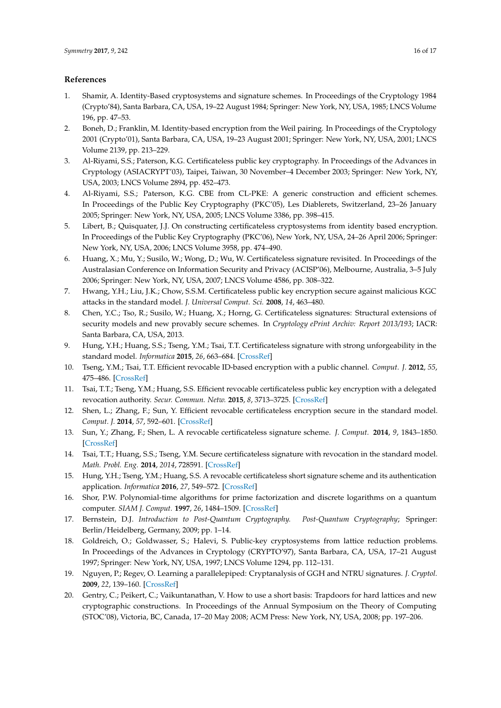## **References**

- <span id="page-15-0"></span>1. Shamir, A. Identity-Based cryptosystems and signature schemes. In Proceedings of the Cryptology 1984 (Crypto'84), Santa Barbara, CA, USA, 19–22 August 1984; Springer: New York, NY, USA, 1985; LNCS Volume 196, pp. 47–53.
- <span id="page-15-1"></span>2. Boneh, D.; Franklin, M. Identity-based encryption from the Weil pairing. In Proceedings of the Cryptology 2001 (Crypto'01), Santa Barbara, CA, USA, 19–23 August 2001; Springer: New York, NY, USA, 2001; LNCS Volume 2139, pp. 213–229.
- <span id="page-15-2"></span>3. Al-Riyami, S.S.; Paterson, K.G. Certificateless public key cryptography. In Proceedings of the Advances in Cryptology (ASIACRYPT'03), Taipei, Taiwan, 30 November–4 December 2003; Springer: New York, NY, USA, 2003; LNCS Volume 2894, pp. 452–473.
- <span id="page-15-3"></span>4. Al-Riyami, S.S.; Paterson, K.G. CBE from CL-PKE: A generic construction and efficient schemes. In Proceedings of the Public Key Cryptography (PKC'05), Les Diablerets, Switzerland, 23–26 January 2005; Springer: New York, NY, USA, 2005; LNCS Volume 3386, pp. 398–415.
- 5. Libert, B.; Quisquater, J.J. On constructing certificateless cryptosystems from identity based encryption. In Proceedings of the Public Key Cryptography (PKC'06), New York, NY, USA, 24–26 April 2006; Springer: New York, NY, USA, 2006; LNCS Volume 3958, pp. 474–490.
- 6. Huang, X.; Mu, Y.; Susilo, W.; Wong, D.; Wu, W. Certificateless signature revisited. In Proceedings of the Australasian Conference on Information Security and Privacy (ACISP'06), Melbourne, Australia, 3–5 July 2006; Springer: New York, NY, USA, 2007; LNCS Volume 4586, pp. 308–322.
- 7. Hwang, Y.H.; Liu, J.K.; Chow, S.S.M. Certificateless public key encryption secure against malicious KGC attacks in the standard model. *J. Universal Comput. Sci.* **2008**, *14*, 463–480.
- 8. Chen, Y.C.; Tso, R.; Susilo, W.; Huang, X.; Horng, G. Certificateless signatures: Structural extensions of security models and new provably secure schemes. In *Cryptology ePrint Archiv: Report 2013/193*; IACR: Santa Barbara, CA, USA, 2013.
- <span id="page-15-4"></span>9. Hung, Y.H.; Huang, S.S.; Tseng, Y.M.; Tsai, T.T. Certificateless signature with strong unforgeability in the standard model. *Informatica* **2015**, *26*, 663–684. [\[CrossRef\]](http://dx.doi.org/10.15388/Informatica.2015.70)
- <span id="page-15-5"></span>10. Tseng, Y.M.; Tsai, T.T. Efficient revocable ID-based encryption with a public channel. *Comput. J.* **2012**, *55*, 475–486. [\[CrossRef\]](http://dx.doi.org/10.1093/comjnl/bxr098)
- <span id="page-15-6"></span>11. Tsai, T.T.; Tseng, Y.M.; Huang, S.S. Efficient revocable certificateless public key encryption with a delegated revocation authority. *Secur. Commun. Netw.* **2015**, *8*, 3713–3725. [\[CrossRef\]](http://dx.doi.org/10.1002/sec.1294)
- <span id="page-15-7"></span>12. Shen, L.; Zhang, F.; Sun, Y. Efficient revocable certificateless encryption secure in the standard model. *Comput. J.* **2014**, *57*, 592–601. [\[CrossRef\]](http://dx.doi.org/10.1093/comjnl/bxt040)
- <span id="page-15-8"></span>13. Sun, Y.; Zhang, F.; Shen, L. A revocable certificateless signature scheme. *J. Comput.* **2014**, *9*, 1843–1850. [\[CrossRef\]](http://dx.doi.org/10.4304/jcp.9.8.1843-1850)
- <span id="page-15-9"></span>14. Tsai, T.T.; Huang, S.S.; Tseng, Y.M. Secure certificateless signature with revocation in the standard model. *Math. Probl. Eng.* **2014**, *2014*, 728591. [\[CrossRef\]](http://dx.doi.org/10.1155/2014/728591)
- <span id="page-15-10"></span>15. Hung, Y.H.; Tseng, Y.M.; Huang, S.S. A revocable certificateless short signature scheme and its authentication application. *Informatica* **2016**, *27*, 549–572. [\[CrossRef\]](http://dx.doi.org/10.15388/Informatica.2016.99)
- <span id="page-15-11"></span>16. Shor, P.W. Polynomial-time algorithms for prime factorization and discrete logarithms on a quantum computer. *SIAM J. Comput.* **1997**, *26*, 1484–1509. [\[CrossRef\]](http://dx.doi.org/10.1137/S0097539795293172)
- <span id="page-15-12"></span>17. Bernstein, D.J. *Introduction to Post-Quantum Cryptography. Post-Quantum Cryptography*; Springer: Berlin/Heidelberg, Germany, 2009; pp. 1–14.
- <span id="page-15-13"></span>18. Goldreich, O.; Goldwasser, S.; Halevi, S. Public-key cryptosystems from lattice reduction problems. In Proceedings of the Advances in Cryptology (CRYPTO'97), Santa Barbara, CA, USA, 17–21 August 1997; Springer: New York, NY, USA, 1997; LNCS Volume 1294, pp. 112–131.
- <span id="page-15-14"></span>19. Nguyen, P.; Regev, O. Learning a parallelepiped: Cryptanalysis of GGH and NTRU signatures. *J. Cryptol.* **2009**, *22*, 139–160. [\[CrossRef\]](http://dx.doi.org/10.1007/s00145-008-9031-0)
- <span id="page-15-15"></span>20. Gentry, C.; Peikert, C.; Vaikuntanathan, V. How to use a short basis: Trapdoors for hard lattices and new cryptographic constructions. In Proceedings of the Annual Symposium on the Theory of Computing (STOC'08), Victoria, BC, Canada, 17–20 May 2008; ACM Press: New York, NY, USA, 2008; pp. 197–206.